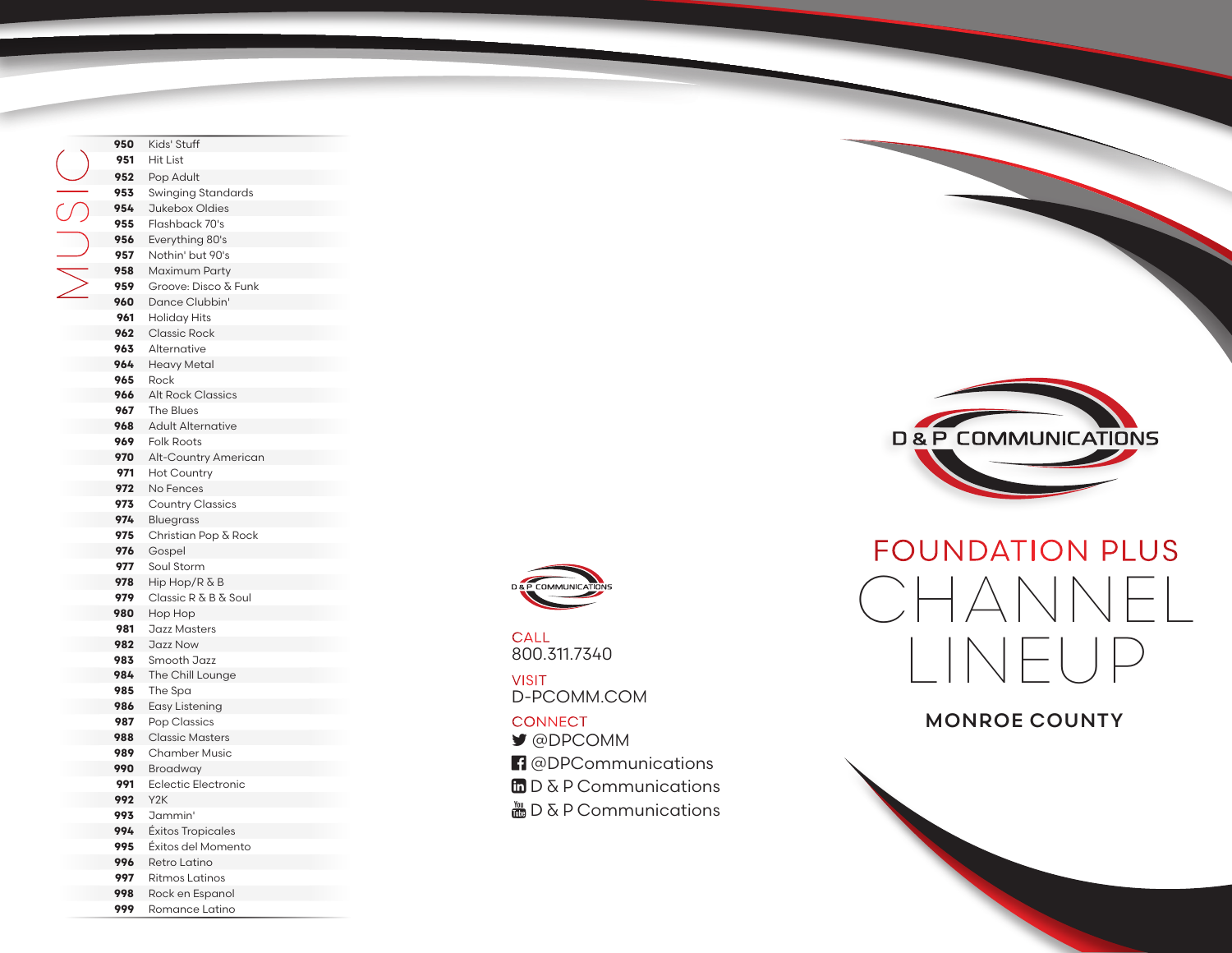Kids' Stuff Hit List Pop Adult Swinging Standards Jukebox Oldies Flashback 70's Everything 80's Nothin' but 90's Maximum Party Groove: Disco & Funk Dance Clubbin' Holiday Hits Classic Rock Alternative Heavy Metal Rock Alt Rock Classics The Blues Adult Alternative Folk Roots Alt-Country American Hot Country No Fences Country Classics Bluegrass Christian Pop & Rock Gospel Soul Storm Hip Hop/R & B Classic R & B & Soul Hop Hop Jazz Masters Jazz Now Smooth Jazz The Chill Lounge The Spa Easy Listening Pop Classics Classic Masters Chamber Music Broadway Eclectic Electronic Y2K Jammin' Éxitos Tropicales Éxitos del Momento Retro Latino Ritmos Latinos MUSIC

> Rock en Espanol Romance Latino



800.311.7340 CALL

D-PCOMM.COM VISIT

#### **CONNECT**

- @DPCOMM
- <sup>1</sup> @DPCommunications
- $\Box$  D & P Communications
- $\frac{M_{\text{min}}}{M_{\text{min}}}$  D & P Communications



# FOUNDATION PLUS CHANNEL LINEUP

### MONROE COUNTY